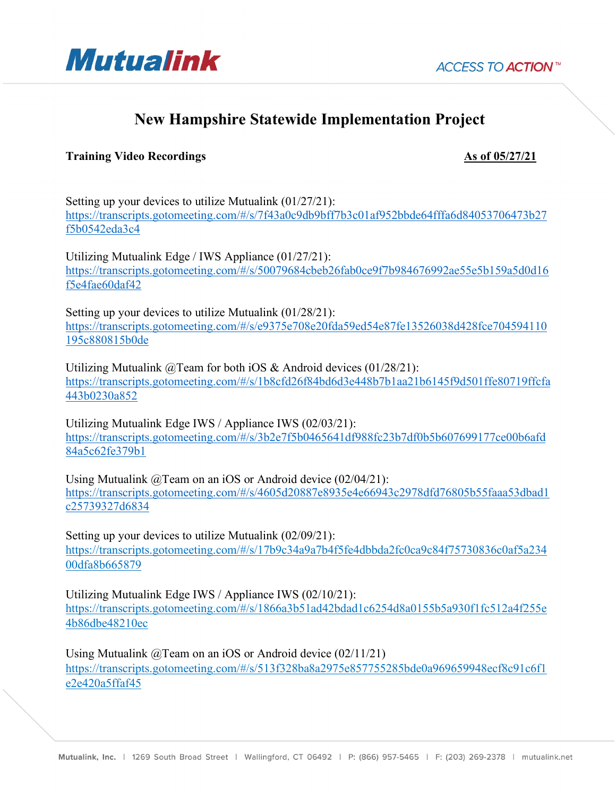

## **New Hampshire Statewide Implementation Project**

## **Training Video Recordings As of 05/27/21**

Setting up your devices to utilize Mutualink (01/27/21): https://transcripts.gotomeeting.com/#/s/7f43a0c9db9bff7b3c01af952bbde64fffa6d84053706473b27 f5b0542eda3c4

Utilizing Mutualink Edge / IWS Appliance (01/27/21): https://transcripts.gotomeeting.com/#/s/50079684cbeb26fab0ce9f7b984676992ae55e5b159a5d0d16 f5e4fae60daf42

Setting up your devices to utilize Mutualink (01/28/21): https://transcripts.gotomeeting.com/#/s/e9375e708e20fda59ed54e87fe13526038d428fce704594110 195c880815b0de

Utilizing Mutualink @Team for both iOS & Android devices (01/28/21): https://transcripts.gotomeeting.com/#/s/1b8cfd26f84bd6d3e448b7b1aa21b6145f9d501ffe80719ffcfa 443b0230a852

Utilizing Mutualink Edge IWS / Appliance IWS (02/03/21): https://transcripts.gotomeeting.com/#/s/3b2e7f5b0465641df988fc23b7df0b5b607699177ce00b6afd 84a5c62fe379b1

Using Mutualink @Team on an iOS or Android device (02/04/21): https://transcripts.gotomeeting.com/#/s/4605d20887e8935e4e66943c2978dfd76805b55faaa53dbad1 c25739327d6834

Setting up your devices to utilize Mutualink (02/09/21): https://transcripts.gotomeeting.com/#/s/17b9c34a9a7b4f5fe4dbbda2fc0ca9c84f75730836c0af5a234 00dfa8b665879

Utilizing Mutualink Edge IWS / Appliance IWS (02/10/21): https://transcripts.gotomeeting.com/#/s/1866a3b51ad42bdad1c6254d8a0155b5a930f1fc512a4f255e 4b86dbe48210ec

Using Mutualink @Team on an iOS or Android device (02/11/21) https://transcripts.gotomeeting.com/#/s/513f328ba8a2975e857755285bde0a969659948ecf8c91c6f1 e2e420a5ffaf45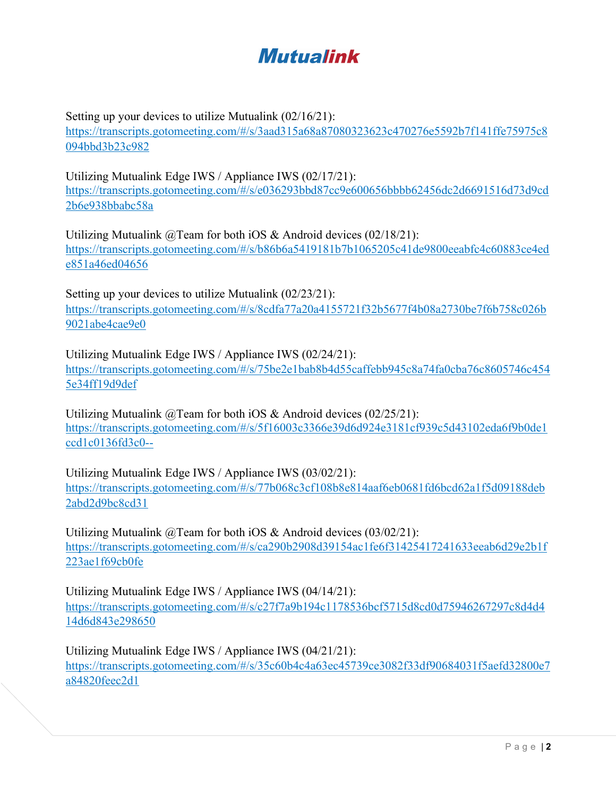## Mutualink

Setting up your devices to utilize Mutualink (02/16/21):

https://transcripts.gotomeeting.com/#/s/3aad315a68a87080323623c470276e5592b7f141ffe75975c8 094bbd3b23c982

Utilizing Mutualink Edge IWS / Appliance IWS (02/17/21): https://transcripts.gotomeeting.com/#/s/e036293bbd87cc9e600656bbbb62456dc2d6691516d73d9cd 2b6e938bbabc58a

Utilizing Mutualink @Team for both iOS & Android devices (02/18/21): https://transcripts.gotomeeting.com/#/s/b86b6a5419181b7b1065205c41de9800eeabfc4c60883ce4ed e851a46ed04656

Setting up your devices to utilize Mutualink (02/23/21): https://transcripts.gotomeeting.com/#/s/8cdfa77a20a4155721f32b5677f4b08a2730be7f6b758c026b 9021abe4cae9e0

Utilizing Mutualink Edge IWS / Appliance IWS (02/24/21): https://transcripts.gotomeeting.com/#/s/75be2e1bab8b4d55caffebb945c8a74fa0cba76c8605746c454 5e34ff19d9def

Utilizing Mutualink  $\omega$ Team for both iOS & Android devices (02/25/21): https://transcripts.gotomeeting.com/#/s/5f16003c3366e39d6d924e3181cf939c5d43102eda6f9b0de1 ccd1c0136fd3c0--

Utilizing Mutualink Edge IWS / Appliance IWS (03/02/21): https://transcripts.gotomeeting.com/#/s/77b068c3cf108b8e814aaf6eb0681fd6bcd62a1f5d09188deb 2abd2d9bc8cd31

Utilizing Mutualink @Team for both iOS & Android devices (03/02/21): https://transcripts.gotomeeting.com/#/s/ca290b2908d39154ac1fe6f31425417241633eeab6d29e2b1f 223ae1f69cb0fe

Utilizing Mutualink Edge IWS / Appliance IWS (04/14/21): https://transcripts.gotomeeting.com/#/s/c27f7a9b194c1178536bcf5715d8cd0d75946267297c8d4d4 14d6d843e298650

Utilizing Mutualink Edge IWS / Appliance IWS (04/21/21): https://transcripts.gotomeeting.com/#/s/35c60b4c4a63ec45739ce3082f33df90684031f5aefd32800e7 a84820feec2d1